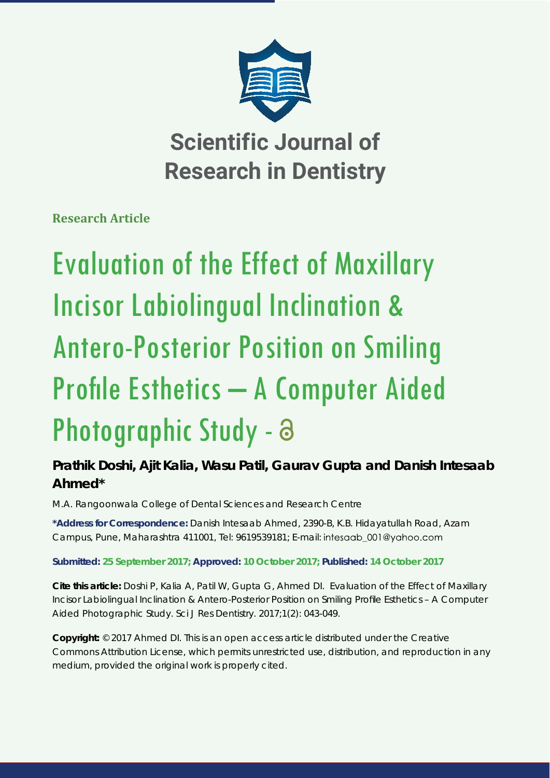

**Scientific Journal of Research in Dentistry**

**Research Article**

# Evaluation of the Effect of Maxillary Incisor Labiolingual Inclination & Antero-Posterior Position on Smiling Profile Esthetics – A Computer Aided Photographic Study - a

# **Prathik Doshi, Ajit Kalia, Wasu Patil, Gaurav Gupta and Danish Intesaab Ahmed\***

*M.A. Rangoonwala College of Dental Sciences and Research Centre*

**\*Address for Correspondence:** Danish Intesaab Ahmed, 2390-B, K.B. Hidayatullah Road, Azam Campus, Pune, Maharashtra 411001, Tel: 9619539181; E-mail:

**Submitted: 25 September 2017; Approved: 10 October 2017; Published: 14 October 2017**

**Cite this article:** Doshi P, Kalia A, Patil W, Gupta G, Ahmed DI. Evaluation of the Effect of Maxillary Incisor Labiolingual Inclination & Antero-Posterior Position on Smiling Profile Esthetics – A Computer Aided Photographic Study. Sci J Res Dentistry. 2017;1(2): 043-049.

**Copyright:** © 2017 Ahmed DI. This is an open access article distributed under the Creative Commons Attribution License, which permits unrestricted use, distribution, and reproduction in any medium, provided the original work is properly cited.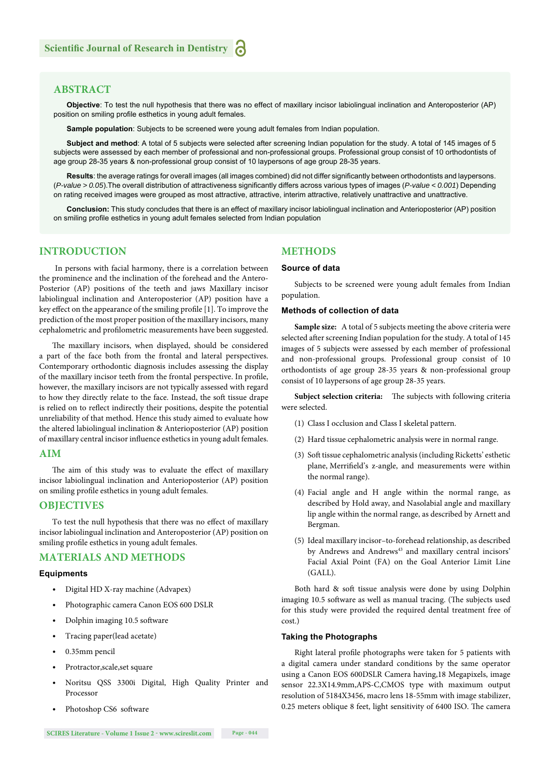#### **ABSTRACT**

**Objective**: To test the null hypothesis that there was no effect of maxillary incisor labiolingual inclination and Anteroposterior (AP) position on smiling profile esthetics in young adult females.

**Sample population**: Subjects to be screened were young adult females from Indian population.

**Subject and method**: A total of 5 subjects were selected after screening Indian population for the study. A total of 145 images of 5 subjects were assessed by each member of professional and non-professional groups. Professional group consist of 10 orthodontists of age group 28-35 years & non-professional group consist of 10 laypersons of age group 28-35 years.

Results: the average ratings for overall images (all images combined) did not differ significantly between orthodontists and laypersons. (*P-value > 0.05*). The overall distribution of attractiveness significantly differs across various types of images (*P-value < 0.001*) Depending on rating received images were grouped as most attractive, attractive, interim attractive, relatively unattractive and unattractive.

**Conclusion:** This study concludes that there is an effect of maxillary incisor labiolingual inclination and Anterioposterior (AP) position on smiling profile esthetics in young adult females selected from Indian population

#### **INTRODUCTION**

 In persons with facial harmony, there is a correlation between the prominence and the inclination of the forehead and the Antero-Posterior (AP) positions of the teeth and jaws Maxillary incisor labiolingual inclination and Anteroposterior (AP) position have a key effect on the appearance of the smiling profile [1]. To improve the prediction of the most proper position of the maxillary incisors, many cephalometric and profilometric measurements have been suggested.

The maxillary incisors, when displayed, should be considered a part of the face both from the frontal and lateral perspectives. Contemporary orthodontic diagnosis includes assessing the display of the maxillary incisor teeth from the frontal perspective. In profile, however, the maxillary incisors are not typically assessed with regard to how they directly relate to the face. Instead, the soft tissue drape is relied on to reflect indirectly their positions, despite the potential unreliability of that method. Hence this study aimed to evaluate how the altered labiolingual inclination & Anterioposterior (AP) position of maxillary central incisor influence esthetics in young adult females.

#### **AIM**

The aim of this study was to evaluate the effect of maxillary incisor labiolingual inclination and Anterioposterior (AP) position on smiling profile esthetics in young adult females.

#### **OBJECTIVES**

To test the null hypothesis that there was no effect of maxillary incisor labiolingual inclination and Anteroposterior (AP) position on smiling profile esthetics in young adult females.

#### **MATERIALS AND METHODS**

#### **Equipments**

- Digital HD X-ray machine (Advapex)
- Photographic camera Canon EOS 600 DSLR
- Dolphin imaging 10.5 software
- Tracing paper(lead acetate)
- 0.35mm pencil
- Protractor,scale,set square
- Noritsu QSS 3300i Digital, High Quality Printer and Processor
- Photoshop CS6 software

**METHODS Source of data**

Subjects to be screened were young adult females from Indian population.

#### **Methods of collection of data**

**Sample size:** A total of 5 subjects meeting the above criteria were selected after screening Indian population for the study. A total of 145 images of 5 subjects were assessed by each member of professional and non-professional groups. Professional group consist of 10 orthodontists of age group 28-35 years & non-professional group consist of 10 laypersons of age group 28-35 years.

**Subject selection criteria:** The subjects with following criteria were selected.

- (1) Class I occlusion and Class I skeletal pattern.
- (2) Hard tissue cephalometric analysis were in normal range.
- (3) Soft tissue cephalometric analysis (including Ricketts' esthetic plane, Merrifield's z-angle, and measurements were within the normal range).
- (4) Facial angle and H angle within the normal range, as described by Hold away, and Nasolabial angle and maxillary lip angle within the normal range, as described by Arnett and Bergman.
- (5) Ideal maxillary incisor–to-forehead relationship, as described by Andrews and Andrews<sup>43</sup> and maxillary central incisors' Facial Axial Point (FA) on the Goal Anterior Limit Line (GALL).

Both hard & soft tissue analysis were done by using Dolphin imaging 10.5 software as well as manual tracing. (The subjects used for this study were provided the required dental treatment free of cost.)

#### **Taking the Photographs**

Right lateral profile photographs were taken for 5 patients with a digital camera under standard conditions by the same operator using a Canon EOS 600DSLR Camera having,18 Megapixels, image sensor 22.3X14.9mm,APS-C,CMOS type with maximum output resolution of 5184X3456, macro lens 18-55mm with image stabilizer, 0.25 meters oblique 8 feet, light sensitivity of 6400 ISO. The camera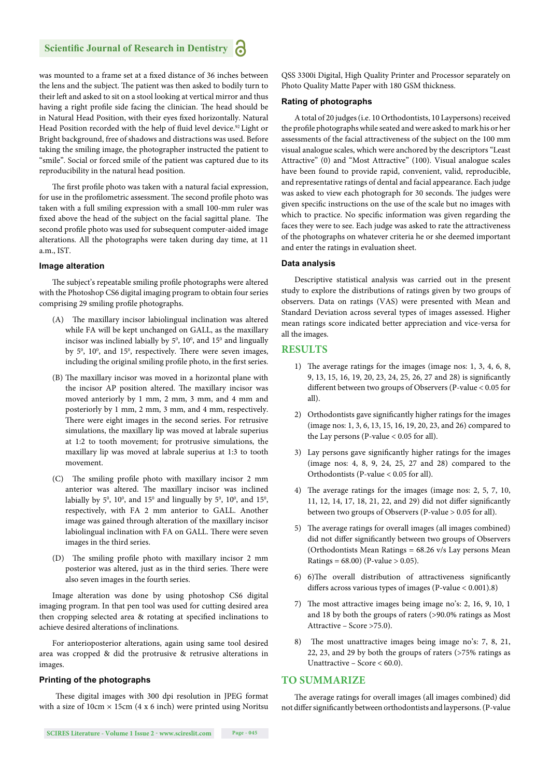was mounted to a frame set at a fixed distance of 36 inches between the lens and the subject. The patient was then asked to bodily turn to their left and asked to sit on a stool looking at vertical mirror and thus having a right profile side facing the clinician. The head should be in Natural Head Position, with their eyes fixed horizontally. Natural Head Position recorded with the help of fluid level device.<sup>92</sup> Light or Bright background, free of shadows and distractions was used. Before taking the smiling image, the photographer instructed the patient to "smile". Social or forced smile of the patient was captured due to its reproducibility in the natural head position.

The first profile photo was taken with a natural facial expression, for use in the profilometric assessment. The second profile photo was taken with a full smiling expression with a small 100-mm ruler was fixed above the head of the subject on the facial sagittal plane. The second profile photo was used for subsequent computer-aided image alterations. All the photographs were taken during day time, at 11 a.m., IST.

#### **Image alteration**

The subject's repeatable smiling profile photographs were altered with the Photoshop CS6 digital imaging program to obtain four series comprising 29 smiling profile photographs.

- $(A)$  The maxillary incisor labiolingual inclination was altered while FA will be kept unchanged on GALL, as the maxillary incisor was inclined labially by  $5^{\circ}$ ,  $10^{\circ}$ , and  $15^{\circ}$  and lingually by 5<sup>0</sup>, 10<sup>0</sup>, and 15<sup>0</sup>, respectively. There were seven images, including the original smiling profile photo, in the first series.
- (B) The maxillary incisor was moved in a horizontal plane with the incisor AP position altered. The maxillary incisor was moved anteriorly by 1 mm, 2 mm, 3 mm, and 4 mm and posteriorly by 1 mm, 2 mm, 3 mm, and 4 mm, respectively. There were eight images in the second series. For retrusive simulations, the maxillary lip was moved at labrale superius at 1:2 to tooth movement; for protrusive simulations, the maxillary lip was moved at labrale superius at 1:3 to tooth movement.
- (C) The smiling profile photo with maxillary incisor 2 mm anterior was altered. The maxillary incisor was inclined labially by  $5^0$ ,  $10^0$ , and  $15^0$  and lingually by  $5^0$ ,  $10^0$ , and  $15^0$ , respectively, with FA 2 mm anterior to GALL. Another image was gained through alteration of the maxillary incisor labiolingual inclination with FA on GALL. There were seven images in the third series.
- (D) The smiling profile photo with maxillary incisor 2 mm posterior was altered, just as in the third series. There were also seven images in the fourth series.

Image alteration was done by using photoshop CS6 digital imaging program. In that pen tool was used for cutting desired area then cropping selected area & rotating at specified inclinations to achieve desired alterations of inclinations.

For anterioposterior alterations, again using same tool desired area was cropped & did the protrusive & retrusive alterations in images.

#### **Printing of the photographs**

These digital images with 300 dpi resolution in JPEG format with a size of  $10 \text{cm} \times 15 \text{cm}$  (4 x 6 inch) were printed using Noritsu

QSS 3300i Digital, High Quality Printer and Processor separately on Photo Quality Matte Paper with 180 GSM thickness.

#### **Rating of photographs**

A total of 20 judges (i.e. 10 Orthodontists, 10 Laypersons) received the profile photographs while seated and were asked to mark his or her assessments of the facial attractiveness of the subject on the 100 mm visual analogue scales, which were anchored by the descriptors "Least Attractive" (0) and "Most Attractive" (100). Visual analogue scales have been found to provide rapid, convenient, valid, reproducible, and representative ratings of dental and facial appearance. Each judge was asked to view each photograph for 30 seconds. The judges were given specific instructions on the use of the scale but no images with which to practice. No specific information was given regarding the faces they were to see. Each judge was asked to rate the attractiveness of the photographs on whatever criteria he or she deemed important and enter the ratings in evaluation sheet.

#### **Data analysis**

Descriptive statistical analysis was carried out in the present study to explore the distributions of ratings given by two groups of observers. Data on ratings (VAS) were presented with Mean and Standard Deviation across several types of images assessed. Higher mean ratings score indicated better appreciation and vice-versa for all the images.

#### **RESULTS**

- 1) The average ratings for the images (image nos:  $1, 3, 4, 6, 8$ , 9, 13, 15, 16, 19, 20, 23, 24, 25, 26, 27 and 28) is significantly different between two groups of Observers (P-value < 0.05 for all).
- 2) Orthodontists gave significantly higher ratings for the images (image nos: 1, 3, 6, 13, 15, 16, 19, 20, 23, and 26) compared to the Lay persons (P-value  $< 0.05$  for all).
- 3) Lay persons gave significantly higher ratings for the images (image nos: 4, 8, 9, 24, 25, 27 and 28) compared to the Orthodontists (P-value < 0.05 for all).
- 4) The average ratings for the images (image nos:  $2, 5, 7, 10$ , 11, 12, 14, 17, 18, 21, 22, and 29) did not differ significantly between two groups of Observers (P-value > 0.05 for all).
- 5) The average ratings for overall images (all images combined) did not differ significantly between two groups of Observers (Orthodontists Mean Ratings = 68.26 v/s Lay persons Mean Ratings =  $68.00$ ) (P-value > 0.05).
- 6) 6)The overall distribution of attractiveness significantly differs across various types of images (P-value  $< 0.001$ ).8)
- 7) The most attractive images being image no's: 2, 16, 9, 10, 1 and 18 by both the groups of raters (>90.0% ratings as Most Attractive – Score >75.0).
- 8) The most unattractive images being image no's: 7, 8, 21, 22, 23, and 29 by both the groups of raters (>75% ratings as Unattractive – Score < 60.0).

#### **TO SUMMARIZE**

The average ratings for overall images (all images combined) did not differ significantly between orthodontists and laypersons. (P-value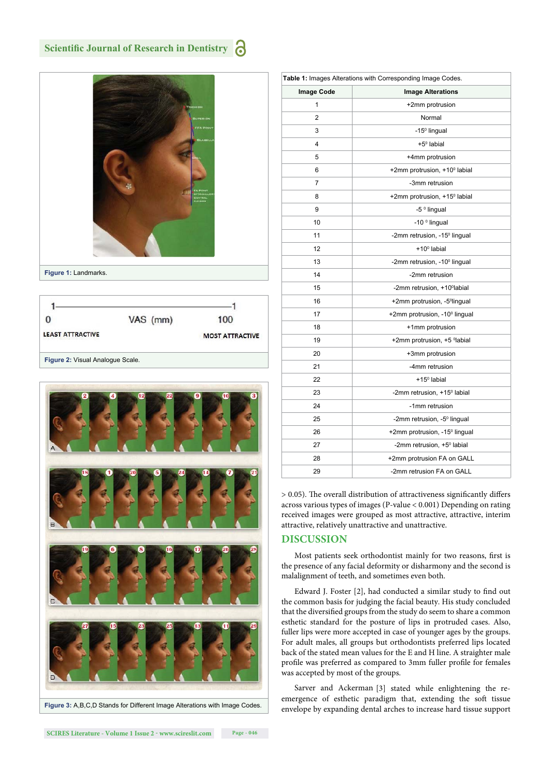

**Figure 1:** Landmarks.

|                         | VAS (mm)               | 100 |
|-------------------------|------------------------|-----|
| <b>LEAST ATTRACTIVE</b> | <b>MOST ATTRACTIVE</b> |     |



| Figure 3: A, B, C, D Stands for Different Image Alterations with Image Codes. |
|-------------------------------------------------------------------------------|
|-------------------------------------------------------------------------------|

| Table 1: Images Alterations with Corresponding Image Codes. |                                           |  |  |
|-------------------------------------------------------------|-------------------------------------------|--|--|
| <b>Image Code</b>                                           | <b>Image Alterations</b>                  |  |  |
| 1                                                           | +2mm protrusion                           |  |  |
| $\overline{2}$                                              | Normal                                    |  |  |
| 3                                                           | -15 <sup>°</sup> lingual                  |  |  |
| 4                                                           | $+5^{\circ}$ labial                       |  |  |
| 5                                                           | +4mm protrusion                           |  |  |
| 6                                                           | +2mm protrusion, +10° labial              |  |  |
| 7                                                           | -3mm retrusion                            |  |  |
| 8                                                           | +2mm protrusion, +15 <sup>0</sup> labial  |  |  |
| 9                                                           | -5 <sup>°</sup> lingual                   |  |  |
| 10                                                          | -10 $^{\circ}$ lingual                    |  |  |
| 11                                                          | -2mm retrusion, -15 <sup>°</sup> lingual  |  |  |
| 12                                                          | $+100$ labial                             |  |  |
| 13                                                          | -2mm retrusion, -10 <sup>°</sup> lingual  |  |  |
| 14                                                          | -2mm retrusion                            |  |  |
| 15                                                          | -2mm retrusion, +10°labial                |  |  |
| 16                                                          | +2mm protrusion, -5 <sup>o</sup> lingual  |  |  |
| 17                                                          | +2mm protrusion, -10 <sup>°</sup> lingual |  |  |
| 18                                                          | +1mm protrusion                           |  |  |
| 19                                                          | +2mm protrusion, +5 <sup>o</sup> labial   |  |  |
| 20                                                          | +3mm protrusion                           |  |  |
| 21                                                          | -4mm retrusion                            |  |  |
| 22                                                          | $+15^{\circ}$ labial                      |  |  |
| 23                                                          | -2mm retrusion, +15° labial               |  |  |
| 24                                                          | -1mm retrusion                            |  |  |
| 25                                                          | -2mm retrusion, -5 <sup>°</sup> lingual   |  |  |
| 26                                                          | +2mm protrusion, -15° lingual             |  |  |
| 27                                                          | -2mm retrusion, +5° labial                |  |  |
| 28                                                          | +2mm protrusion FA on GALL                |  |  |
| 29                                                          | -2mm retrusion FA on GALL                 |  |  |

 $> 0.05$ ). The overall distribution of attractiveness significantly differs across various types of images (P-value < 0.001) Depending on rating received images were grouped as most attractive, attractive, interim attractive, relatively unattractive and unattractive.

#### **DISCUSSION**

Most patients seek orthodontist mainly for two reasons, first is the presence of any facial deformity or disharmony and the second is malalignment of teeth, and sometimes even both.

Edward J. Foster [2], had conducted a similar study to find out the common basis for judging the facial beauty. His study concluded that the diversified groups from the study do seem to share a common esthetic standard for the posture of lips in protruded cases. Also, fuller lips were more accepted in case of younger ages by the groups. For adult males, all groups but orthodontists preferred lips located back of the stated mean values for the E and H line. A straighter male profile was preferred as compared to 3mm fuller profile for females was accepted by most of the groups.

Sarver and Ackerman [3] stated while enlightening the reemergence of esthetic paradigm that, extending the soft tissue envelope by expanding dental arches to increase hard tissue support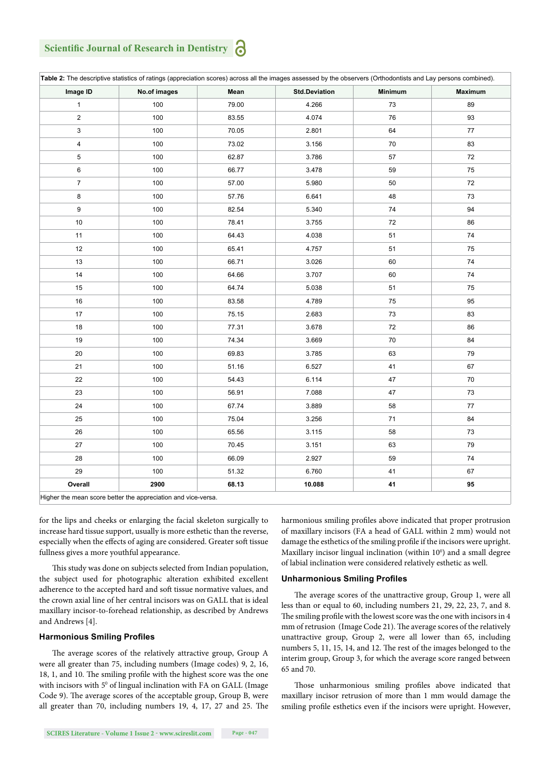## **Scientific Journal of Research in Dentistry**

| Image ID                | No.of images | Mean  | <b>Std.Deviation</b> | <b>Minimum</b> | Maximum |
|-------------------------|--------------|-------|----------------------|----------------|---------|
| $\mathbf{1}$            | 100          | 79.00 | 4.266                | 73             | 89      |
| $\sqrt{2}$              | 100          | 83.55 | 4.074                | 76             | 93      |
| $\mathsf 3$             | 100          | 70.05 | 2.801                | 64             | 77      |
| $\overline{\mathbf{4}}$ | 100          | 73.02 | 3.156                | 70             | 83      |
| 5                       | 100          | 62.87 | 3.786                | 57             | 72      |
| $\,6$                   | 100          | 66.77 | 3.478                | 59             | 75      |
| $\boldsymbol{7}$        | 100          | 57.00 | 5.980                | 50             | 72      |
| 8                       | 100          | 57.76 | 6.641                | 48             | 73      |
| 9                       | 100          | 82.54 | 5.340                | 74             | 94      |
| 10                      | 100          | 78.41 | 3.755                | 72             | 86      |
| 11                      | 100          | 64.43 | 4.038                | 51             | 74      |
| 12                      | 100          | 65.41 | 4.757                | 51             | 75      |
| 13                      | 100          | 66.71 | 3.026                | 60             | 74      |
| 14                      | 100          | 64.66 | 3.707                | 60             | 74      |
| 15                      | 100          | 64.74 | 5.038                | 51             | 75      |
| 16                      | 100          | 83.58 | 4.789                | 75             | 95      |
| 17                      | 100          | 75.15 | 2.683                | 73             | 83      |
| 18                      | 100          | 77.31 | 3.678                | 72             | 86      |
| 19                      | 100          | 74.34 | 3.669                | $70\,$         | 84      |
| $20\,$                  | 100          | 69.83 | 3.785                | 63             | 79      |
| 21                      | 100          | 51.16 | 6.527                | 41             | 67      |
| 22                      | 100          | 54.43 | 6.114                | 47             | 70      |
| 23                      | 100          | 56.91 | 7.088                | 47             | 73      |
| 24                      | 100          | 67.74 | 3.889                | 58             | 77      |
| 25                      | 100          | 75.04 | 3.256                | 71             | 84      |
| 26                      | 100          | 65.56 | 3.115                | 58             | 73      |
| 27                      | 100          | 70.45 | 3.151                | 63             | 79      |
| 28                      | 100          | 66.09 | 2.927                | 59             | 74      |
| 29                      | 100          | 51.32 | 6.760                | 41             | 67      |
| Overall                 | 2900         | 68.13 | 10.088               | 41             | 95      |

Higher the mean score better the appreciation and vice-versa.

for the lips and cheeks or enlarging the facial skeleton surgically to increase hard tissue support, usually is more esthetic than the reverse, especially when the effects of aging are considered. Greater soft tissue fullness gives a more youthful appearance.

This study was done on subjects selected from Indian population, the subject used for photographic alteration exhibited excellent adherence to the accepted hard and soft tissue normative values, and the crown axial line of her central incisors was on GALL that is ideal maxillary incisor-to-forehead relationship, as described by Andrews and Andrews [4].

#### **Harmonious Smiling Profiles**

The average scores of the relatively attractive group, Group A were all greater than 75, including numbers (Image codes) 9, 2, 16, 18, 1, and 10. The smiling profile with the highest score was the one with incisors with  $5^{\circ}$  of lingual inclination with FA on GALL (Image Code 9). The average scores of the acceptable group, Group B, were all greater than 70, including numbers  $19, 4, 17, 27$  and  $25$ . The

harmonious smiling profiles above indicated that proper protrusion of maxillary incisors (FA a head of GALL within 2 mm) would not damage the esthetics of the smiling profile if the incisors were upright. Maxillary incisor lingual inclination (within  $10<sup>0</sup>$ ) and a small degree of labial inclination were considered relatively esthetic as well.

#### **Unharmonious Smiling Profiles**

The average scores of the unattractive group, Group 1, were all less than or equal to 60, including numbers 21, 29, 22, 23, 7, and 8. The smiling profile with the lowest score was the one with incisors in 4 mm of retrusion (Image Code 21). The average scores of the relatively unattractive group, Group 2, were all lower than 65, including numbers 5, 11, 15, 14, and 12. The rest of the images belonged to the interim group, Group 3, for which the average score ranged between 65 and 70.

Those unharmonious smiling profiles above indicated that maxillary incisor retrusion of more than 1 mm would damage the smiling profile esthetics even if the incisors were upright. However,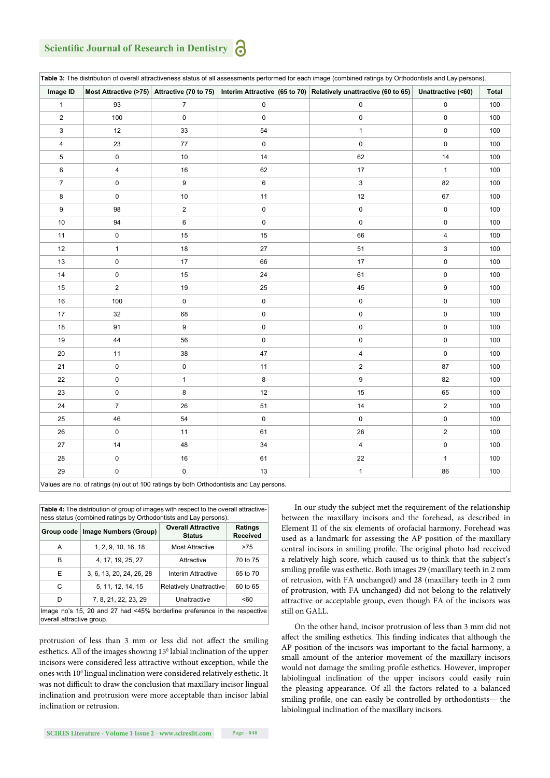### **Scientific Journal of Research in Dentistry**

| Image ID                |                |                |             | Most Attractive (>75) Attractive (70 to 75) Interim Attractive (65 to 70) Relatively unattractive (60 to 65) | Unattractive (<60)      | <b>Total</b> |
|-------------------------|----------------|----------------|-------------|--------------------------------------------------------------------------------------------------------------|-------------------------|--------------|
| $\mathbf{1}$            | 93             | $\overline{7}$ | 0           | 0                                                                                                            | 0                       | 100          |
| $\sqrt{2}$              | 100            | 0              | 0           | $\pmb{0}$                                                                                                    | $\pmb{0}$               | 100          |
| 3                       | 12             | 33             | 54          | $\mathbf{1}$                                                                                                 | $\pmb{0}$               | 100          |
| $\overline{\mathbf{4}}$ | 23             | 77             | 0           | 0                                                                                                            | $\pmb{0}$               | 100          |
| 5                       | $\pmb{0}$      | 10             | 14          | 62                                                                                                           | 14                      | 100          |
| 6                       | 4              | 16             | 62          | 17                                                                                                           | $\mathbf{1}$            | 100          |
| $\boldsymbol{7}$        | $\pmb{0}$      | 9              | 6           | 3                                                                                                            | 82                      | 100          |
| 8                       | $\pmb{0}$      | 10             | 11          | 12                                                                                                           | 67                      | 100          |
| 9                       | 98             | $\mathbf{2}$   | 0           | 0                                                                                                            | $\pmb{0}$               | 100          |
| $10$                    | 94             | 6              | 0           | $\pmb{0}$                                                                                                    | 0                       | 100          |
| 11                      | $\pmb{0}$      | 15             | 15          | 66                                                                                                           | $\overline{\mathbf{4}}$ | 100          |
| 12                      | $\mathbf{1}$   | 18             | 27          | 51                                                                                                           | 3                       | 100          |
| 13                      | $\pmb{0}$      | 17             | 66          | 17                                                                                                           | $\mathbf 0$             | 100          |
| $14$                    | $\pmb{0}$      | 15             | 24          | 61                                                                                                           | $\pmb{0}$               | 100          |
| 15                      | $\overline{2}$ | 19             | 25          | 45                                                                                                           | 9                       | 100          |
| 16                      | 100            | 0              | 0           | 0                                                                                                            | $\mathbf 0$             | 100          |
| 17                      | 32             | 68             | $\pmb{0}$   | 0                                                                                                            | 0                       | 100          |
| 18                      | 91             | 9              | 0           | $\pmb{0}$                                                                                                    | $\mathbf 0$             | 100          |
| 19                      | 44             | 56             | 0           | $\pmb{0}$                                                                                                    | $\pmb{0}$               | 100          |
| 20                      | 11             | 38             | 47          | $\overline{4}$                                                                                               | $\pmb{0}$               | 100          |
| 21                      | $\pmb{0}$      | 0              | 11          | $\overline{c}$                                                                                               | 87                      | 100          |
| 22                      | $\pmb{0}$      | $\mathbf{1}$   | 8           | 9                                                                                                            | 82                      | 100          |
| 23                      | $\pmb{0}$      | 8              | 12          | 15                                                                                                           | 65                      | 100          |
| 24                      | $\overline{7}$ | 26             | 51          | 14                                                                                                           | $\boldsymbol{2}$        | 100          |
| 25                      | 46             | 54             | $\mathsf 0$ | 0                                                                                                            | $\pmb{0}$               | 100          |
| 26                      | $\mathbf 0$    | 11             | 61          | 26                                                                                                           | $\mathbf 2$             | 100          |
| 27                      | 14             | 48             | 34          | $\overline{4}$                                                                                               | $\mathsf 0$             | 100          |
| 28                      | $\pmb{0}$      | 16             | 61          | 22                                                                                                           | $\mathbf{1}$            | 100          |
| 29                      | $\mathbf 0$    | 0              | 13          | $\mathbf{1}$                                                                                                 | 86                      | 100          |

**Table 4:** The distribution of group of images with respect to the overall attractive-

| ness status (combined ratings by Orthodontists and Lay persons).                                       |                          |                                            |          |  |  |
|--------------------------------------------------------------------------------------------------------|--------------------------|--------------------------------------------|----------|--|--|
| Group code                                                                                             | Image Numbers (Group)    | <b>Overall Attractive</b><br><b>Status</b> |          |  |  |
| А                                                                                                      | 1, 2, 9, 10, 16, 18      | <b>Most Attractive</b>                     | >75      |  |  |
| в                                                                                                      | 4, 17, 19, 25, 27        | Attractive                                 | 70 to 75 |  |  |
| Е                                                                                                      | 3, 6, 13, 20, 24, 26, 28 | Interim Attractive                         | 65 to 70 |  |  |
| C                                                                                                      | 5, 11, 12, 14, 15        | <b>Relatively Unattractive</b>             | 60 to 65 |  |  |
| D                                                                                                      | 7, 8, 21, 22, 23, 29     | Unattractive                               | $50-$    |  |  |
| Image no's 15, 20 and 27 had <45% borderline preference in the respective<br>overall attractive group. |                          |                                            |          |  |  |

protrusion of less than 3 mm or less did not affect the smiling esthetics. All of the images showing  $15^{\circ}$  labial inclination of the upper incisors were considered less attractive without exception, while the ones with 10<sup>°</sup> lingual inclination were considered relatively esthetic. It was not difficult to draw the conclusion that maxillary incisor lingual inclination and protrusion were more acceptable than incisor labial inclination or retrusion.

In our study the subject met the requirement of the relationship between the maxillary incisors and the forehead, as described in Element II of the six elements of orofacial harmony. Forehead was used as a landmark for assessing the AP position of the maxillary central incisors in smiling profile. The original photo had received a relatively high score, which caused us to think that the subject's smiling profile was esthetic. Both images 29 (maxillary teeth in 2 mm of retrusion, with FA unchanged) and 28 (maxillary teeth in 2 mm of protrusion, with FA unchanged) did not belong to the relatively attractive or acceptable group, even though FA of the incisors was still on GALL.

On the other hand, incisor protrusion of less than 3 mm did not affect the smiling esthetics. This finding indicates that although the AP position of the incisors was important to the facial harmony, a small amount of the anterior movement of the maxillary incisors would not damage the smiling profile esthetics. However, improper labiolingual inclination of the upper incisors could easily ruin the pleasing appearance. Of all the factors related to a balanced smiling profile, one can easily be controlled by orthodontists— the labiolingual inclination of the maxillary incisors.